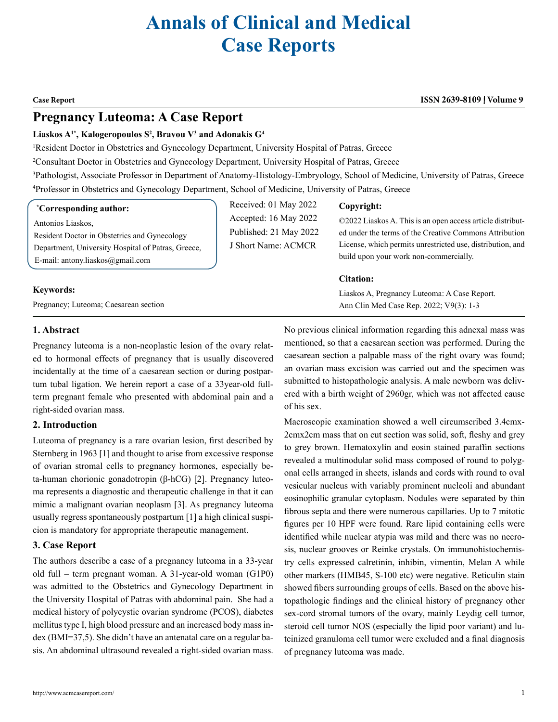# **Annals of Clinical and Medical Case Reports**

#### **Case Report ISSN 2639-8109 Volume 9**

## **Pregnancy Luteoma: A Case Report**

#### **Liaskos A1\*, Kalogeropoulos S2 , Bravou V3 and Adonakis G4**

<sup>1</sup>Resident Doctor in Obstetrics and Gynecology Department, University Hospital of Patras, Greece

2 Consultant Doctor in Obstetrics and Gynecology Department, University Hospital of Patras, Greece

3 Pathologist, Associate Professor in Department of Anatomy-Histology-Embryology, School of Medicine, University of Patras, Greece 4 Professor in Obstetrics and Gynecology Department, School of Medicine, University of Patras, Greece

#### **\* Corresponding author:**

Antonios Liaskos,

Resident Doctor in Obstetrics and Gynecology Department, University Hospital of Patras, Greece, E-mail: antony.liaskos@gmail.com

#### **Keywords:**

Pregnancy; Luteoma; Caesarean section

Received: 01 May 2022 Accepted: 16 May 2022 Published: 21 May 2022 J Short Name: ACMCR

#### **Copyright:**

©2022 Liaskos A. This is an open access article distributed under the terms of the Creative Commons Attribution License, which permits unrestricted use, distribution, and build upon your work non-commercially.

#### **Citation:**

Liaskos A, Pregnancy Luteoma: A Case Report. Ann Clin Med Case Rep. 2022; V9(3): 1-3

### **1. Abstract**

Pregnancy luteoma is a non-neoplastic lesion of the ovary related to hormonal effects of pregnancy that is usually discovered incidentally at the time of a caesarean section or during postpartum tubal ligation. We herein report a case of a 33year-old fullterm pregnant female who presented with abdominal pain and a right-sided ovarian mass.

#### **2. Introduction**

Luteoma of pregnancy is a rare ovarian lesion, first described by Sternberg in 1963 [1] and thought to arise from excessive response of ovarian stromal cells to pregnancy hormones, especially beta-human chorionic gonadotropin (β-hCG) [2]. Pregnancy luteoma represents a diagnostic and therapeutic challenge in that it can mimic a malignant ovarian neoplasm [3]. As pregnancy luteoma usually regress spontaneously postpartum [1] a high clinical suspicion is mandatory for appropriate therapeutic management.

#### **3. Case Report**

The authors describe a case of a pregnancy luteoma in a 33-year old full – term pregnant woman. A 31-year-old woman (G1P0) was admitted to the Obstetrics and Gynecology Department in the University Hospital of Patras with abdominal pain. She had a medical history of polycystic ovarian syndrome (PCOS), diabetes mellitus type I, high blood pressure and an increased body mass index (BMI=37,5). She didn't have an antenatal care on a regular basis. An abdominal ultrasound revealed a right-sided ovarian mass.

No previous clinical information regarding this adnexal mass was mentioned, so that a caesarean section was performed. During the caesarean section a palpable mass of the right ovary was found; an ovarian mass excision was carried out and the specimen was submitted to histopathologic analysis. A male newborn was delivered with a birth weight of 2960gr, which was not affected cause of his sex.

Macroscopic examination showed a well circumscribed 3.4cmx-2cmx2cm mass that on cut section was solid, soft, fleshy and grey to grey brown. Hematoxylin and eosin stained paraffin sections revealed a multinodular solid mass composed of round to polygonal cells arranged in sheets, islands and cords with round to oval vesicular nucleus with variably prominent nucleoli and abundant eosinophilic granular cytoplasm. Nodules were separated by thin fibrous septa and there were numerous capillaries. Up to 7 mitotic figures per 10 HPF were found. Rare lipid containing cells were identified while nuclear atypia was mild and there was no necrosis, nuclear grooves or Reinke crystals. On immunohistochemistry cells expressed calretinin, inhibin, vimentin, Melan A while other markers (HMB45, S-100 etc) were negative. Reticulin stain showed fibers surrounding groups of cells. Based on the above histopathologic findings and the clinical history of pregnancy other sex-cord stromal tumors of the ovary, mainly Leydig cell tumor, steroid cell tumor NOS (especially the lipid poor variant) and luteinized granuloma cell tumor were excluded and a final diagnosis of pregnancy luteoma was made.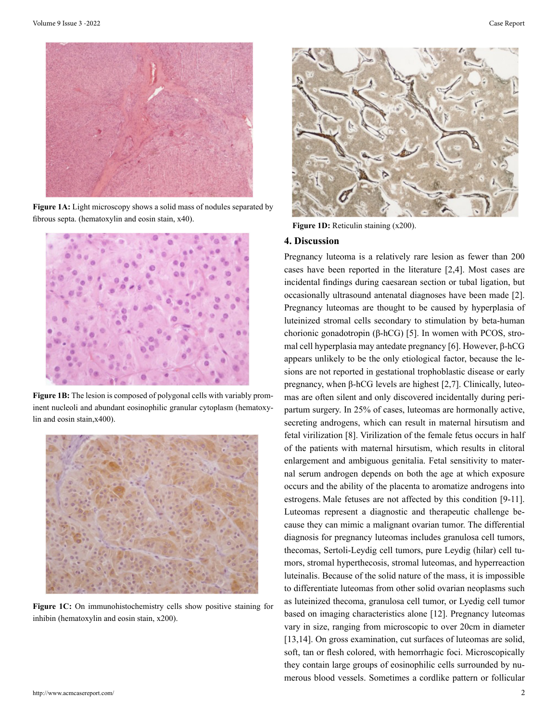

**Figure 1A:** Light microscopy shows a solid mass of nodules separated by fibrous septa. (hematoxylin and eosin stain, x40).



**Figure 1B:** The lesion is composed of polygonal cells with variably prominent nucleoli and abundant eosinophilic granular cytoplasm (hematoxylin and eosin stain,x400).



**Figure 1C:** On immunohistochemistry cells show positive staining for inhibin (hematoxylin and eosin stain, x200).



Figure 1D: Reticulin staining (x200).

#### **4. Discussion**

Pregnancy luteoma is a relatively rare lesion as fewer than 200 cases have been reported in the literature [2,4]. Most cases are incidental findings during caesarean section or tubal ligation, but occasionally ultrasound antenatal diagnoses have been made [2]. Pregnancy luteomas are thought to be caused by hyperplasia of luteinized stromal cells secondary to stimulation by beta-human chorionic gonadotropin (β-hCG) [5]. In women with PCOS, stromal cell hyperplasia may antedate pregnancy [6]. However, β-hCG appears unlikely to be the only etiological factor, because the lesions are not reported in gestational trophoblastic disease or early pregnancy, when β-hCG levels are highest [2,7]. Clinically, luteomas are often silent and only discovered incidentally during peripartum surgery. In 25% of cases, luteomas are hormonally active, secreting androgens, which can result in maternal hirsutism and fetal virilization [8]. Virilization of the female fetus occurs in half of the patients with maternal hirsutism, which results in clitoral enlargement and ambiguous genitalia. Fetal sensitivity to maternal serum androgen depends on both the age at which exposure occurs and the ability of the placenta to aromatize androgens into estrogens. Male fetuses are not affected by this condition [9-11]. Luteomas represent a diagnostic and therapeutic challenge because they can mimic a malignant ovarian tumor. The differential diagnosis for pregnancy luteomas includes granulosa cell tumors, thecomas, Sertoli-Leydig cell tumors, pure Leydig (hilar) cell tumors, stromal hyperthecosis, stromal luteomas, and hyperreaction luteinalis. Because of the solid nature of the mass, it is impossible to differentiate luteomas from other solid ovarian neoplasms such as luteinized thecoma, granulosa cell tumor, or Lyedig cell tumor based on imaging characteristics alone [12]. Pregnancy luteomas vary in size, ranging from microscopic to over 20cm in diameter [13,14]. On gross examination, cut surfaces of luteomas are solid, soft, tan or flesh colored, with hemorrhagic foci. Microscopically they contain large groups of eosinophilic cells surrounded by numerous blood vessels. Sometimes a cordlike pattern or follicular